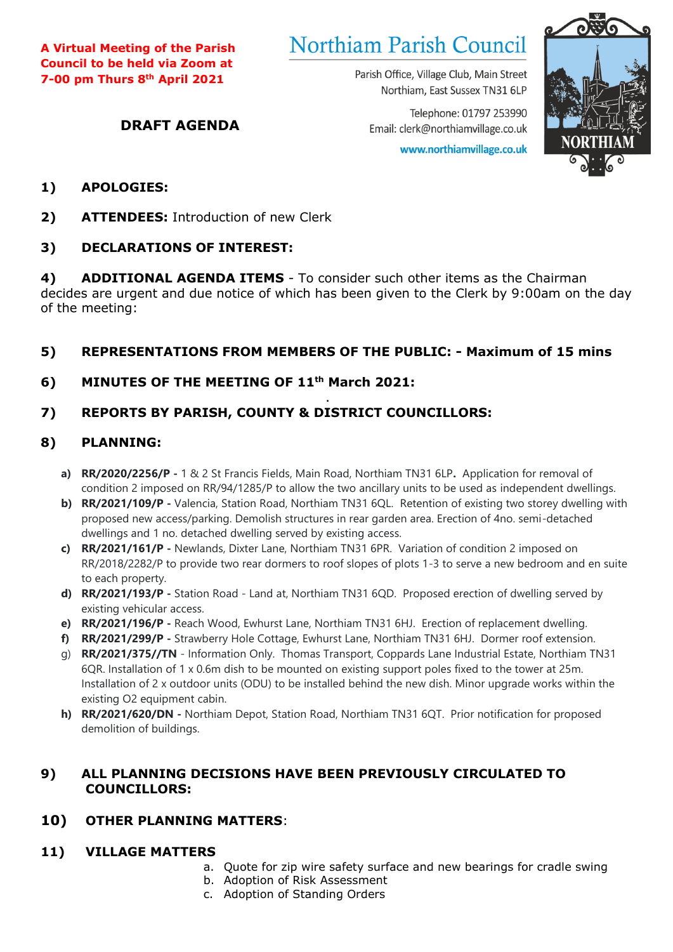**A Virtual Meeting of the Parish Council to be held via Zoom at 7-00 pm Thurs 8th April 2021**

# **Northiam Parish Council**

Parish Office, Village Club, Main Street Northiam, East Sussex TN31 6LP

Telephone: 01797 253990 Email: clerk@northiamvillage.co.uk

www.northiamvillage.co.uk



## **1) APOLOGIES:**

**2) ATTENDEES:** Introduction of new Clerk

**DRAFT AGENDA**

## **3) DECLARATIONS OF INTEREST:**

**4) ADDITIONAL AGENDA ITEMS** - To consider such other items as the Chairman decides are urgent and due notice of which has been given to the Clerk by 9:00am on the day of the meeting:

## **5) REPRESENTATIONS FROM MEMBERS OF THE PUBLIC: - Maximum of 15 mins**

**6) MINUTES OF THE MEETING OF 11 th March 2021:**

#### . **7) REPORTS BY PARISH, COUNTY & DISTRICT COUNCILLORS:**

# **8) PLANNING:**

- **a) RR/2020/2256/P -** 1 & 2 St Francis Fields, Main Road, Northiam TN31 6LP**.** Application for removal of condition 2 imposed on RR/94/1285/P to allow the two ancillary units to be used as independent dwellings.
- **b) RR/2021/109/P -** Valencia, Station Road, Northiam TN31 6QL. Retention of existing two storey dwelling with proposed new access/parking. Demolish structures in rear garden area. Erection of 4no. semi-detached dwellings and 1 no. detached dwelling served by existing access.
- **c) RR/2021/161/P -** Newlands, Dixter Lane, Northiam TN31 6PR. Variation of condition 2 imposed on RR/2018/2282/P to provide two rear dormers to roof slopes of plots 1-3 to serve a new bedroom and en suite to each property.
- **d) RR/2021/193/P -** Station Road Land at, Northiam TN31 6QD. Proposed erection of dwelling served by existing vehicular access.
- **e) RR/2021/196/P -** Reach Wood, Ewhurst Lane, Northiam TN31 6HJ. Erection of replacement dwelling.
- **f) RR/2021/299/P -** Strawberry Hole Cottage, Ewhurst Lane, Northiam TN31 6HJ. Dormer roof extension.
- g) **RR/2021/375//TN** Information Only. Thomas Transport, Coppards Lane Industrial Estate, Northiam TN31 6QR. Installation of 1 x 0.6m dish to be mounted on existing support poles fixed to the tower at 25m. Installation of 2 x outdoor units (ODU) to be installed behind the new dish. Minor upgrade works within the existing O2 equipment cabin.
- **h) RR/2021/620/DN -** Northiam Depot, Station Road, Northiam TN31 6QT. Prior notification for proposed demolition of buildings.

## **9) ALL PLANNING DECISIONS HAVE BEEN PREVIOUSLY CIRCULATED TO COUNCILLORS:**

## **10) OTHER PLANNING MATTERS**:

#### **11) VILLAGE MATTERS**

- a. Quote for zip wire safety surface and new bearings for cradle swing
	- b. Adoption of Risk Assessment
	- c. Adoption of Standing Orders